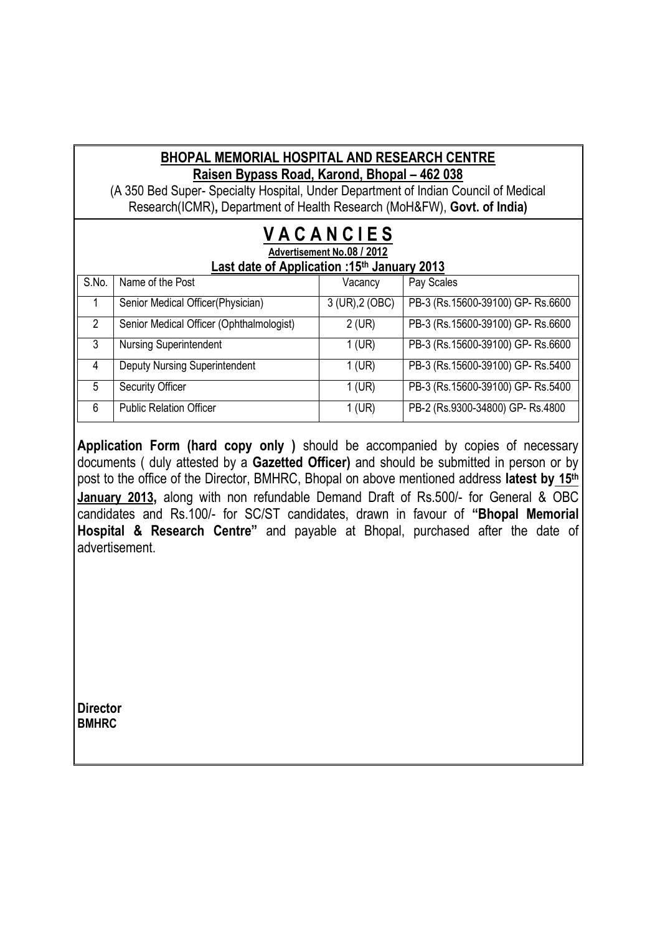#### **BHOPAL MEMORIAL HOSPITAL AND RESEARCH CENTRE Raisen Bypass Road, Karond, Bhopal – 462 038**

(A 350 Bed Super- Specialty Hospital, Under Department of Indian Council of Medical Research(ICMR)**,** Department of Health Research (MoH&FW), **Govt. of India)**

#### **V A C A N C I E S Advertisement No.08 / 2012 Last date of Application :15th January 2013**

| S.No. | Name of the Post                         | Vacancy         | Pay Scales                       |
|-------|------------------------------------------|-----------------|----------------------------------|
|       | Senior Medical Officer(Physician)        | 3 (UR), 2 (OBC) | PB-3 (Rs.15600-39100) GP-Rs.6600 |
|       | Senior Medical Officer (Ophthalmologist) | $2$ (UR)        | PB-3 (Rs.15600-39100) GP-Rs.6600 |
| 3     | <b>Nursing Superintendent</b>            | $1$ (UR)        | PB-3 (Rs.15600-39100) GP-Rs.6600 |
| 4     | <b>Deputy Nursing Superintendent</b>     | $1$ (UR)        | PB-3 (Rs.15600-39100) GP-Rs.5400 |
| 5     | <b>Security Officer</b>                  | $1$ (UR)        | PB-3 (Rs.15600-39100) GP-Rs.5400 |
| 6     | <b>Public Relation Officer</b>           | $1$ (UR)        | PB-2 (Rs.9300-34800) GP- Rs.4800 |

**Application Form (hard copy only )** should be accompanied by copies of necessary documents ( duly attested by a **Gazetted Officer)** and should be submitted in person or by post to the office of the Director, BMHRC, Bhopal on above mentioned address **latest by 15th January 2013,** along with non refundable Demand Draft of Rs.500/- for General & OBC candidates and Rs.100/- for SC/ST candidates, drawn in favour of **"Bhopal Memorial Hospital & Research Centre"** and payable at Bhopal, purchased after the date of advertisement.

**Director BMHRC**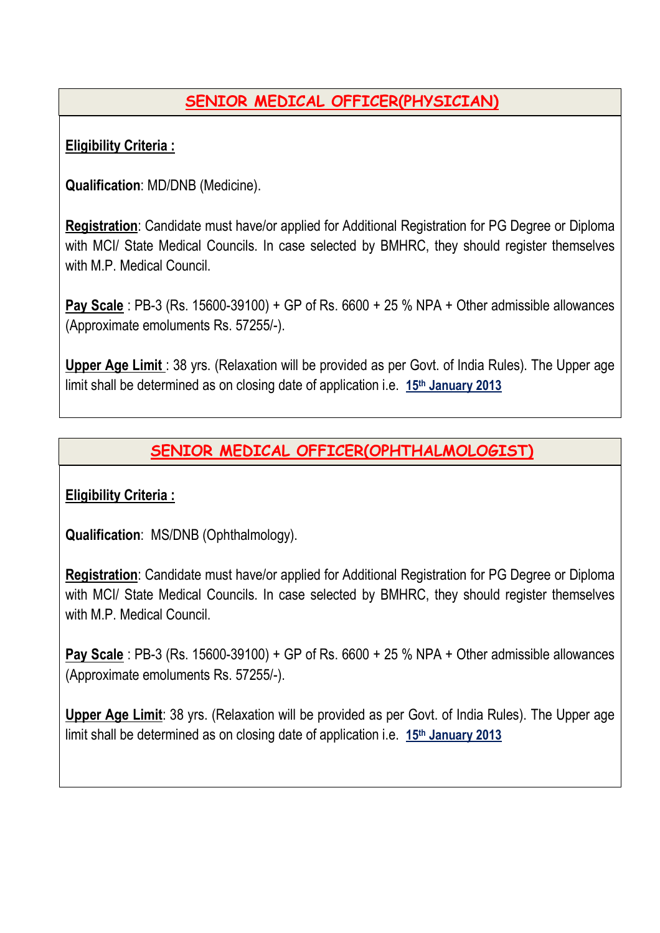# **SENIOR MEDICAL OFFICER(PHYSICIAN)**

### **Eligibility Criteria :**

**Qualification**: MD/DNB (Medicine).

**Registration**: Candidate must have/or applied for Additional Registration for PG Degree or Diploma with MCI/ State Medical Councils. In case selected by BMHRC, they should register themselves with M.P. Medical Council.

**Pay Scale** : PB-3 (Rs. 15600-39100) + GP of Rs. 6600 + 25 % NPA + Other admissible allowances (Approximate emoluments Rs. 57255/-).

**Upper Age Limit** : 38 yrs. (Relaxation will be provided as per Govt. of India Rules). The Upper age limit shall be determined as on closing date of application i.e. **15th January 2013**

## **SENIOR MEDICAL OFFICER(OPHTHALMOLOGIST)**

### **Eligibility Criteria :**

**Qualification**: MS/DNB (Ophthalmology).

**Registration**: Candidate must have/or applied for Additional Registration for PG Degree or Diploma with MCI/ State Medical Councils. In case selected by BMHRC, they should register themselves with M.P. Medical Council.

**Pay Scale** : PB-3 (Rs. 15600-39100) + GP of Rs. 6600 + 25 % NPA + Other admissible allowances (Approximate emoluments Rs. 57255/-).

**Upper Age Limit**: 38 yrs. (Relaxation will be provided as per Govt. of India Rules). The Upper age limit shall be determined as on closing date of application i.e. **15th January 2013**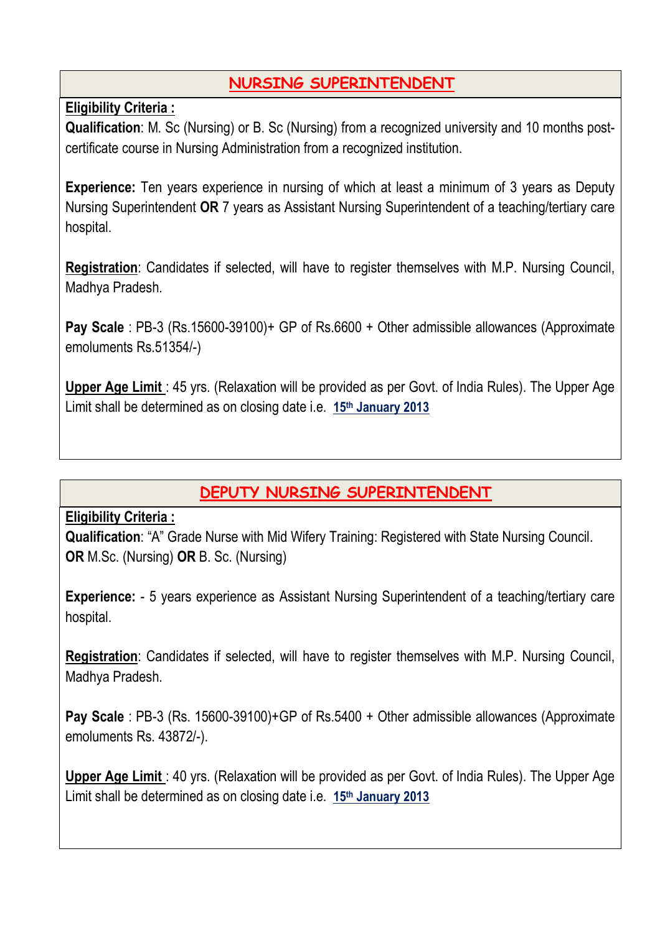## **NURSING SUPERINTENDENT**

**Eligibility Criteria :**

**Qualification**: M. Sc (Nursing) or B. Sc (Nursing) from a recognized university and 10 months postcertificate course in Nursing Administration from a recognized institution.

**Experience:** Ten years experience in nursing of which at least a minimum of 3 years as Deputy Nursing Superintendent **OR** 7 years as Assistant Nursing Superintendent of a teaching/tertiary care hospital.

**Registration**: Candidates if selected, will have to register themselves with M.P. Nursing Council, Madhya Pradesh.

**Pay Scale** : PB-3 (Rs.15600-39100)+ GP of Rs.6600 + Other admissible allowances (Approximate emoluments Rs.51354/-)

**Upper Age Limit** : 45 yrs. (Relaxation will be provided as per Govt. of India Rules). The Upper Age Limit shall be determined as on closing date i.e. **15th January 2013**

# **DEPUTY NURSING SUPERINTENDENT**

### **Eligibility Criteria :**

**Qualification**: "A" Grade Nurse with Mid Wifery Training: Registered with State Nursing Council. **OR** M.Sc. (Nursing) **OR** B. Sc. (Nursing)

**Experience:** - 5 years experience as Assistant Nursing Superintendent of a teaching/tertiary care hospital.

**Registration**: Candidates if selected, will have to register themselves with M.P. Nursing Council, Madhya Pradesh.

**Pay Scale** : PB-3 (Rs. 15600-39100)+GP of Rs.5400 + Other admissible allowances (Approximate emoluments Rs. 43872/-).

**Upper Age Limit** : 40 yrs. (Relaxation will be provided as per Govt. of India Rules). The Upper Age Limit shall be determined as on closing date i.e. **15th January 2013**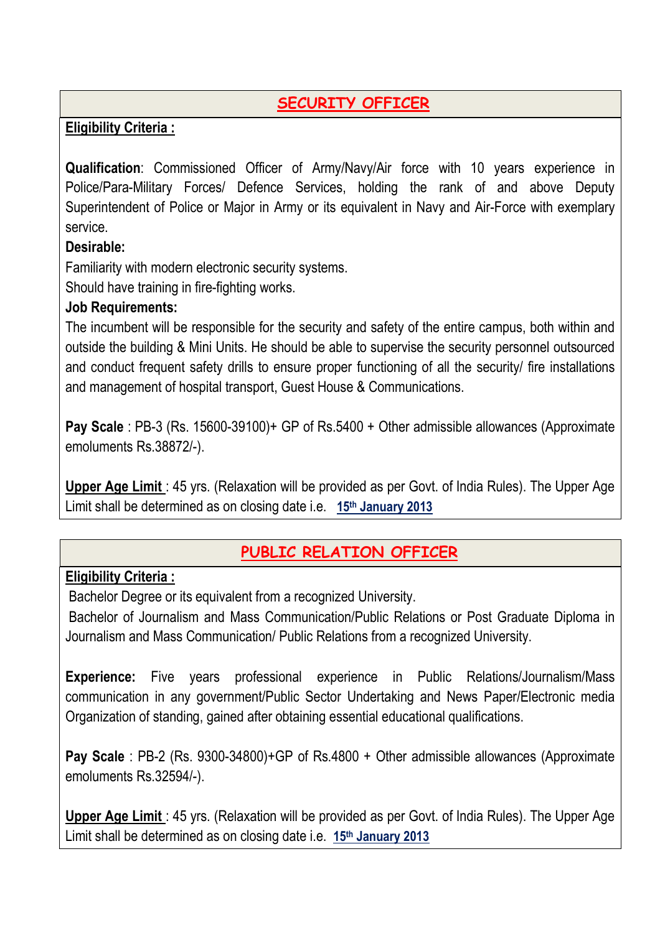# **SECURITY OFFICER**

### **Eligibility Criteria :**

**Qualification**: Commissioned Officer of Army/Navy/Air force with 10 years experience in Police/Para-Military Forces/ Defence Services, holding the rank of and above Deputy Superintendent of Police or Major in Army or its equivalent in Navy and Air-Force with exemplary service.

### **Desirable:**

Familiarity with modern electronic security systems.

Should have training in fire-fighting works.

### **Job Requirements:**

The incumbent will be responsible for the security and safety of the entire campus, both within and outside the building & Mini Units. He should be able to supervise the security personnel outsourced and conduct frequent safety drills to ensure proper functioning of all the security/ fire installations and management of hospital transport, Guest House & Communications.

**Pay Scale** : PB-3 (Rs. 15600-39100)+ GP of Rs.5400 + Other admissible allowances (Approximate emoluments Rs.38872/-).

**Upper Age Limit** : 45 yrs. (Relaxation will be provided as per Govt. of India Rules). The Upper Age Limit shall be determined as on closing date i.e. **15th January 2013**

### **PUBLIC RELATION OFFICER**

### **Eligibility Criteria :**

Bachelor Degree or its equivalent from a recognized University.

Bachelor of Journalism and Mass Communication/Public Relations or Post Graduate Diploma in Journalism and Mass Communication/ Public Relations from a recognized University.

**Experience:** Five years professional experience in Public Relations/Journalism/Mass communication in any government/Public Sector Undertaking and News Paper/Electronic media Organization of standing, gained after obtaining essential educational qualifications.

**Pay Scale** : PB-2 (Rs. 9300-34800)+GP of Rs.4800 + Other admissible allowances (Approximate emoluments Rs.32594/-).

**Upper Age Limit** : 45 yrs. (Relaxation will be provided as per Govt. of India Rules). The Upper Age Limit shall be determined as on closing date i.e. **15th January 2013**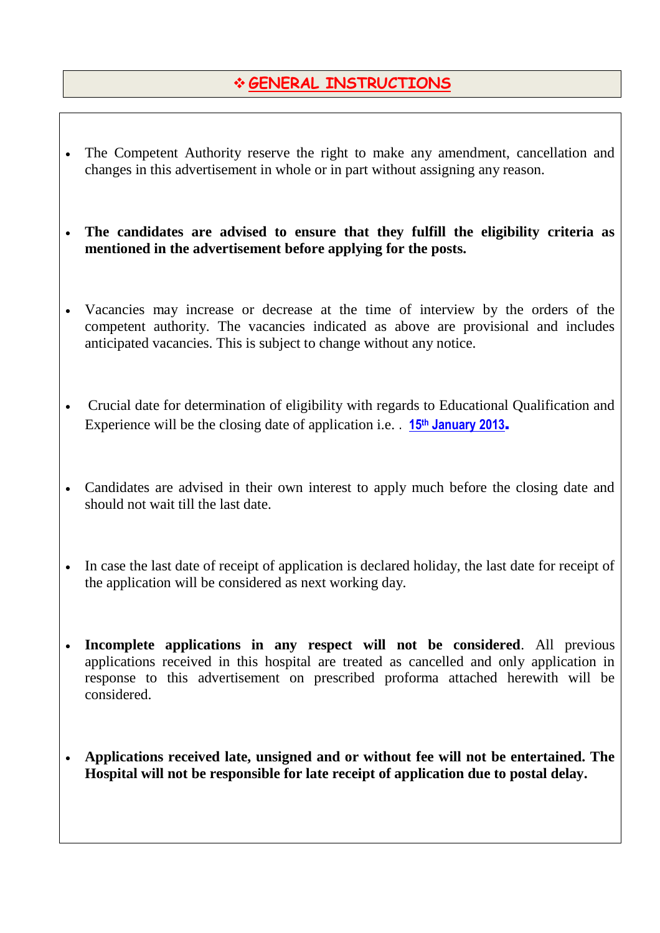## **GENERAL INSTRUCTIONS**

- The Competent Authority reserve the right to make any amendment, cancellation and changes in this advertisement in whole or in part without assigning any reason.
- **The candidates are advised to ensure that they fulfill the eligibility criteria as mentioned in the advertisement before applying for the posts.**
- Vacancies may increase or decrease at the time of interview by the orders of the competent authority. The vacancies indicated as above are provisional and includes anticipated vacancies. This is subject to change without any notice.
- Crucial date for determination of eligibility with regards to Educational Qualification and Experience will be the closing date of application i.e. . **15th January 2013**.
- Candidates are advised in their own interest to apply much before the closing date and should not wait till the last date.
- In case the last date of receipt of application is declared holiday, the last date for receipt of the application will be considered as next working day.
- **Incomplete applications in any respect will not be considered**. All previous applications received in this hospital are treated as cancelled and only application in response to this advertisement on prescribed proforma attached herewith will be considered.
- **Applications received late, unsigned and or without fee will not be entertained. The Hospital will not be responsible for late receipt of application due to postal delay.**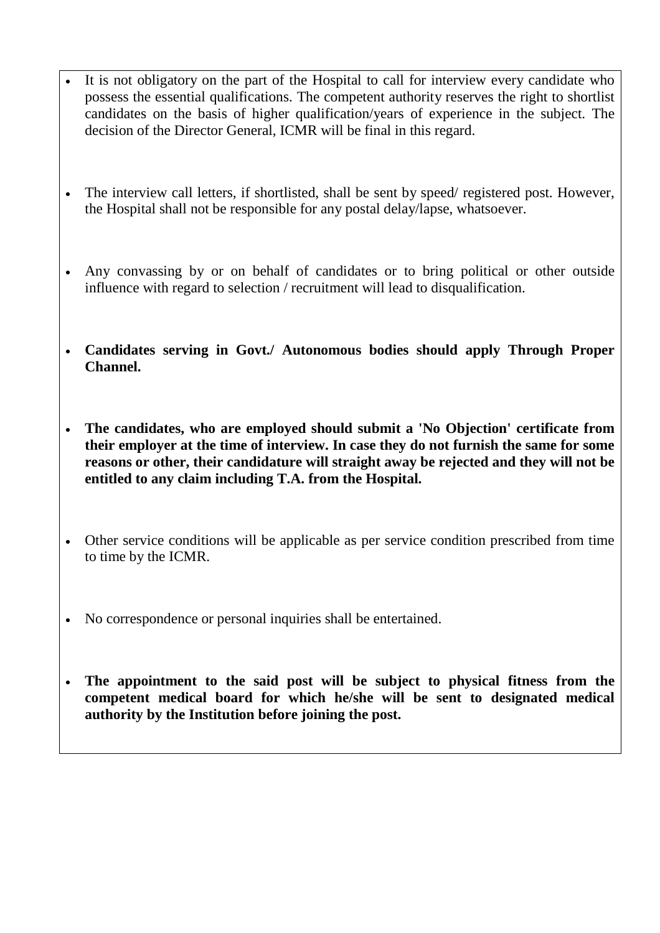- It is not obligatory on the part of the Hospital to call for interview every candidate who possess the essential qualifications. The competent authority reserves the right to shortlist candidates on the basis of higher qualification/years of experience in the subject. The decision of the Director General, ICMR will be final in this regard.
- The interview call letters, if shortlisted, shall be sent by speed/ registered post. However, the Hospital shall not be responsible for any postal delay/lapse, whatsoever.
- Any convassing by or on behalf of candidates or to bring political or other outside influence with regard to selection / recruitment will lead to disqualification.
- **Candidates serving in Govt./ Autonomous bodies should apply Through Proper Channel.**
- **The candidates, who are employed should submit a 'No Objection' certificate from their employer at the time of interview. In case they do not furnish the same for some reasons or other, their candidature will straight away be rejected and they will not be entitled to any claim including T.A. from the Hospital.**
- Other service conditions will be applicable as per service condition prescribed from time to time by the ICMR.
- No correspondence or personal inquiries shall be entertained.
- **The appointment to the said post will be subject to physical fitness from the competent medical board for which he/she will be sent to designated medical authority by the Institution before joining the post.**